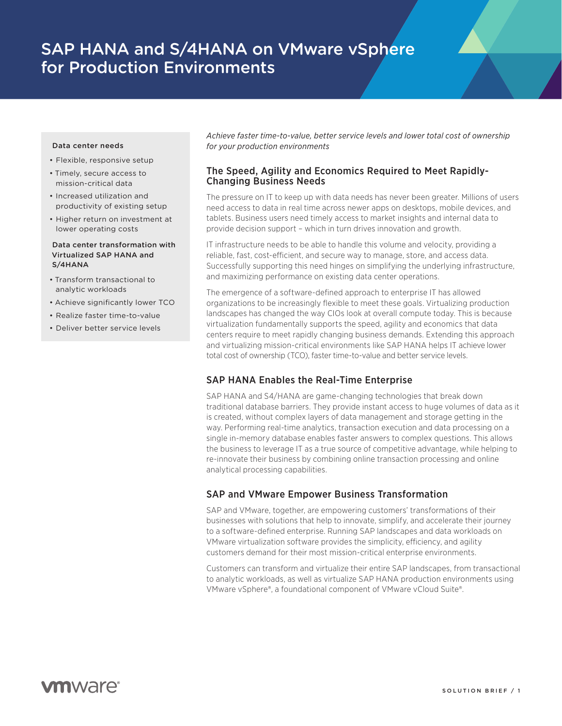# SAP HANA and S/4HANA on VMware vSphere for Production Environments

#### Data center needs

- Flexible, responsive setup
- Timely, secure access to mission-critical data
- Increased utilization and productivity of existing setup
- Higher return on investment at lower operating costs

### Data center transformation with Virtualized SAP HANA and S/4HANA

- Transform transactional to analytic workloads
- Achieve significantly lower TCO
- Realize faster time-to-value
- Deliver better service levels

*Achieve faster time-to-value, better service levels and lower total cost of ownership for your production environments*

## The Speed, Agility and Economics Required to Meet Rapidly-Changing Business Needs

The pressure on IT to keep up with data needs has never been greater. Millions of users need access to data in real time across newer apps on desktops, mobile devices, and tablets. Business users need timely access to market insights and internal data to provide decision support – which in turn drives innovation and growth.

IT infrastructure needs to be able to handle this volume and velocity, providing a reliable, fast, cost-efficient, and secure way to manage, store, and access data. Successfully supporting this need hinges on simplifying the underlying infrastructure, and maximizing performance on existing data center operations.

The emergence of a software-defined approach to enterprise IT has allowed organizations to be increasingly flexible to meet these goals. Virtualizing production landscapes has changed the way CIOs look at overall compute today. This is because virtualization fundamentally supports the speed, agility and economics that data centers require to meet rapidly changing business demands. Extending this approach and virtualizing mission-critical environments like SAP HANA helps IT achieve lower total cost of ownership (TCO), faster time-to-value and better service levels.

# SAP HANA Enables the Real-Time Enterprise

SAP HANA and S4/HANA are game-changing technologies that break down traditional database barriers. They provide instant access to huge volumes of data as it is created, without complex layers of data management and storage getting in the way. Performing real-time analytics, transaction execution and data processing on a single in-memory database enables faster answers to complex questions. This allows the business to leverage IT as a true source of competitive advantage, while helping to re-innovate their business by combining online transaction processing and online analytical processing capabilities.

# SAP and VMware Empower Business Transformation

SAP and VMware, together, are empowering customers' transformations of their businesses with solutions that help to innovate, simplify, and accelerate their journey to a software-defined enterprise. Running SAP landscapes and data workloads on VMware virtualization software provides the simplicity, efficiency, and agility customers demand for their most mission-critical enterprise environments.

Customers can transform and virtualize their entire SAP landscapes, from transactional to analytic workloads, as well as virtualize SAP HANA production environments using VMware vSphere®, a foundational component of VMware vCloud Suite®.

# **vm**ware<sup>®</sup>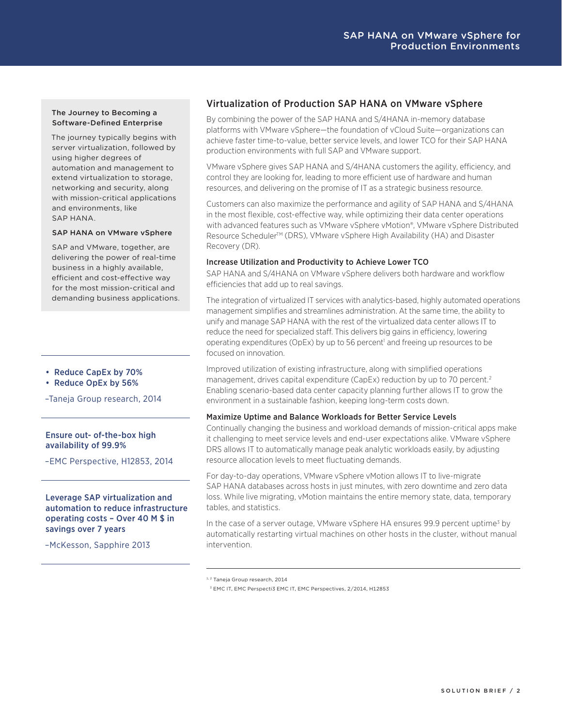## The Journey to Becoming a Software-Defined Enterprise

The journey typically begins with server virtualization, followed by using higher degrees of automation and management to extend virtualization to storage, networking and security, along with mission-critical applications and environments, like SAP HANA.

### SAP HANA on VMware vSphere

SAP and VMware, together, are delivering the power of real-time business in a highly available, efficient and cost-effective way for the most mission-critical and demanding business applications.

- Reduce CapEx by 70%
- Reduce OpEx by 56%

–Taneja Group research, 2014

### Ensure out- of-the-box high availability of 99.9%

–EMC Perspective, H12853, 2014

Leverage SAP virtualization and automation to reduce infrastructure operating costs – Over 40 M \$ in savings over 7 years

–McKesson, Sapphire 2013

# Virtualization of Production SAP HANA on VMware vSphere

By combining the power of the SAP HANA and S/4HANA in-memory database platforms with VMware vSphere—the foundation of vCloud Suite—organizations can achieve faster time-to-value, better service levels, and lower TCO for their SAP HANA production environments with full SAP and VMware support.

VMware vSphere gives SAP HANA and S/4HANA customers the agility, efficiency, and control they are looking for, leading to more efficient use of hardware and human resources, and delivering on the promise of IT as a strategic business resource.

Customers can also maximize the performance and agility of SAP HANA and S/4HANA in the most flexible, cost-effective way, while optimizing their data center operations with advanced features such as VMware vSphere vMotion®, VMware vSphere Distributed Resource Scheduler™ (DRS), VMware vSphere High Availability (HA) and Disaster Recovery (DR).

### Increase Utilization and Productivity to Achieve Lower TCO

SAP HANA and S/4HANA on VMware vSphere delivers both hardware and workflow efficiencies that add up to real savings.

The integration of virtualized IT services with analytics-based, highly automated operations management simplifies and streamlines administration. At the same time, the ability to unify and manage SAP HANA with the rest of the virtualized data center allows IT to reduce the need for specialized staff. This delivers big gains in efficiency, lowering operating expenditures (OpEx) by up to 56 percent<sup>1</sup> and freeing up resources to be focused on innovation.

Improved utilization of existing infrastructure, along with simplified operations management, drives capital expenditure (CapEx) reduction by up to 70 percent.<sup>2</sup> Enabling scenario-based data center capacity planning further allows IT to grow the environment in a sustainable fashion, keeping long-term costs down.

### Maximize Uptime and Balance Workloads for Better Service Levels

Continually changing the business and workload demands of mission-critical apps make it challenging to meet service levels and end-user expectations alike. VMware vSphere DRS allows IT to automatically manage peak analytic workloads easily, by adjusting resource allocation levels to meet fluctuating demands.

For day-to-day operations, VMware vSphere vMotion allows IT to live-migrate SAP HANA databases across hosts in just minutes, with zero downtime and zero data loss. While live migrating, vMotion maintains the entire memory state, data, temporary tables, and statistics.

In the case of a server outage, VMware vSphere HA ensures 99.9 percent uptime<sup>3</sup> by automatically restarting virtual machines on other hosts in the cluster, without manual intervention.

<sup>1, 2</sup> Taneia Group research, 2014

 <sup>3</sup> EMC IT, EMC Perspecti3 EMC IT, EMC Perspectives, 2/2014, H12853